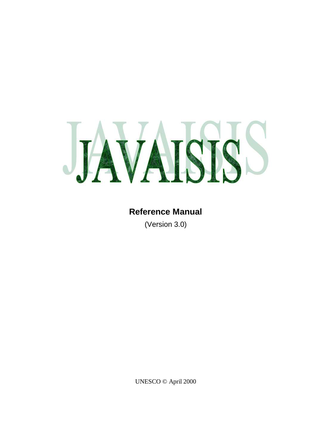

### **Reference Manual**

(Version 3.0)

UNESCO © April 2000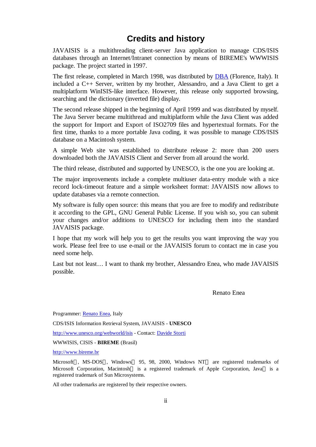### **Credits and history**

JAVAISIS is a multithreading client-server Java application to manage CDS/ISIS databases through an Internet/Intranet connection by means of BIREME's WWWISIS package. The project started in 1997.

The first release, completed in March 1998, was distributed by DBA (Florence, Italy). It included a C++ Server, written by my brother, Alessandro, and a Java Client to get a multiplatform WinISIS-like interface. However, this release only supported browsing, searching and the dictionary (inverted file) display.

The second release shipped in the beginning of April 1999 and was distributed by myself. The Java Server became multithread and multiplatform while the Java Client was added the support for Import and Export of ISO2709 files and hypertextual formats. For the first time, thanks to a more portable Java coding, it was possible to manage CDS/ISIS database on a Macintosh system.

A simple Web site was established to distribute release 2: more than 200 users downloaded both the JAVAISIS Client and Server from all around the world.

The third release, distributed and supported by UNESCO, is the one you are looking at.

The major improvements include a complete multiuser data-entry module with a nice record lock-timeout feature and a simple worksheet format: JAVAISIS now allows to update databases via a remote connection.

My software is fully open source: this means that you are free to modify and redistribute it according to the GPL, GNU General Public License. If you wish so, you can submit your changes and/or additions to UNESCO for including them into the standard JAVAISIS package.

I hope that my work will help you to get the results you want improving the way you work. Please feel free to use e-mail or the JAVAISIS forum to contact me in case you need some help.

Last but not least… I want to thank my brother, Alessandro Enea, who made JAVAISIS possible.

Renato Enea

Programmer: Renato Enea, Italy CDS/ISIS Information Retrieval System, JAVAISIS - **UNESCO** http://www.unesco.org/webworld/isis - Contact: Davide Storti WWWISIS, CISIS - **BIREME** (Brasil)

http://www.bireme.br

Microsoft ®, MS-DOS™, Windows<sup>™</sup> 95, 98, 2000, Windows NT<sup>™</sup> are registered trademarks of Microsoft Corporation, Macintosh® is a registered trademark of Apple Corporation, Java<sup>™</sup> is a registered trademark of Sun Microsystems.

All other trademarks are registered by their respective owners.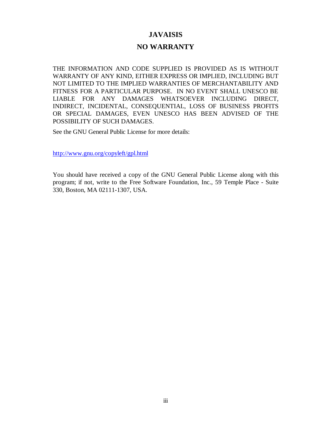#### **JAVAISIS**

#### **NO WARRANTY**

THE INFORMATION AND CODE SUPPLIED IS PROVIDED AS IS WITHOUT WARRANTY OF ANY KIND, EITHER EXPRESS OR IMPLIED, INCLUDING BUT NOT LIMITED TO THE IMPLIED WARRANTIES OF MERCHANTABILITY AND FITNESS FOR A PARTICULAR PURPOSE. IN NO EVENT SHALL UNESCO BE LIABLE FOR ANY DAMAGES WHATSOEVER INCLUDING DIRECT, INDIRECT, INCIDENTAL, CONSEQUENTIAL, LOSS OF BUSINESS PROFITS OR SPECIAL DAMAGES, EVEN UNESCO HAS BEEN ADVISED OF THE POSSIBILITY OF SUCH DAMAGES.

See the GNU General Public License for more details:

http://www.gnu.org/copyleft/gpl.html

You should have received a copy of the GNU General Public License along with this program; if not, write to the Free Software Foundation, Inc., 59 Temple Place - Suite 330, Boston, MA 02111-1307, USA.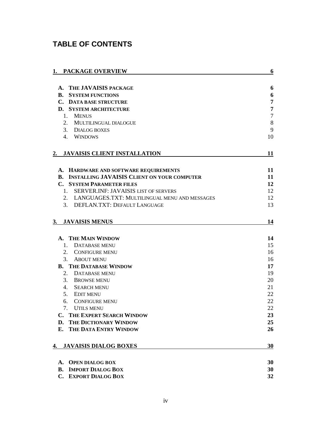### **TABLE OF CONTENTS**

| 1. PACKAGE OVERVIEW                                   | 6              |
|-------------------------------------------------------|----------------|
|                                                       |                |
| A. THE JAVAISIS PACKAGE                               | 6              |
| <b>B. SYSTEM FUNCTIONS</b>                            | 6              |
| <b>C. DATA BASE STRUCTURE</b>                         | $\overline{7}$ |
| D. SYSTEM ARCHITECTURE                                | $\overline{7}$ |
| 1. MENUS                                              | $\overline{7}$ |
| 2. MULTILINGUAL DIALOGUE                              | $\,8\,$        |
| 3. DIALOG BOXES                                       | 9              |
| 4. WINDOWS                                            | 10             |
| 2. JAVAISIS CLIENT INSTALLATION                       | 11             |
| A. HARDWARE AND SOFTWARE REQUIREMENTS                 | 11             |
| <b>B. INSTALLING JAVAISIS CLIENT ON YOUR COMPUTER</b> | 11             |
| <b>C. SYSTEM PARAMETER FILES</b>                      | 12             |
| 1. SERVER.INF: JAVAISIS LIST OF SERVERS               | 12             |
| 2. LANGUAGES.TXT: MULTILINGUAL MENU AND MESSAGES      | 12             |
| 3. DEFLAN.TXT: DEFAULT LANGUAGE                       | 13             |
|                                                       |                |
| <b>JAVAISIS MENUS</b><br>3.                           | 14             |
|                                                       |                |
| <b>THE MAIN WINDOW</b>                                | 14             |
| DATABASE MENU<br>1.                                   | 15             |
| 2. CONFIGURE MENU                                     | 16             |
| 3. ABOUT MENU                                         | 16             |
| <b>B. THE DATABASE WINDOW</b>                         | 17             |
| 2. DATABASE MENU                                      | 19             |
| 3. BROWSE MENU                                        | 20             |
| 4. SEARCH MENU                                        | 21             |
| 5.<br><b>EDIT MENU</b>                                | 22             |
| 6.<br>CONFIGURE MENU                                  | 22             |
| <b>UTILS MENU</b><br>7.                               | 22             |
| THE EXPERT SEARCH WINDOW<br>C.                        | 23             |
| THE DICTIONARY WINDOW<br>D.                           | 25             |
| THE DATA ENTRY WINDOW<br>Е.                           | 26             |
| <b>JAVAISIS DIALOG BOXES</b><br>4.                    | 30             |
| <b>OPEN DIALOG BOX</b><br>A.                          | 30             |
| <b>IMPORT DIALOG BOX</b><br>В.                        | 30             |
| C.<br><b>EXPORT DIALOG BOX</b>                        | 32             |
|                                                       |                |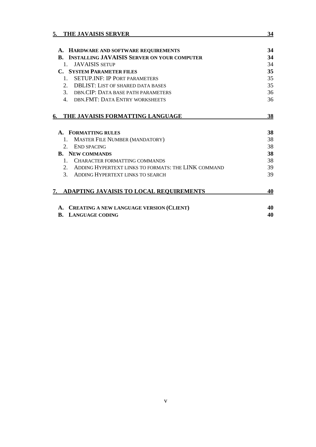| THE JAVAISIS SERVER<br>5.                                                                                           | 34 |
|---------------------------------------------------------------------------------------------------------------------|----|
|                                                                                                                     | 34 |
| A. HARDWARE AND SOFTWARE REQUIREMENTS<br><b>INSTALLING JAVAISIS SERVER ON YOUR COMPUTER</b><br>$\mathbf{R}_{\cdot}$ | 34 |
| $1 \quad$                                                                                                           |    |
| <b>JAVAISIS SETUP</b>                                                                                               | 34 |
| <b>C. SYSTEM PARAMETER FILES</b>                                                                                    | 35 |
| <b>SETUP INF: IP PORT PARAMETERS</b><br>$\mathbf{1}$                                                                | 35 |
| $\mathcal{D}$<br><b>DBLIST: LIST OF SHARED DATA BASES</b>                                                           | 35 |
| 3. DBN.CIP: DATA BASE PATH PARAMETERS                                                                               | 36 |
| DBN FMT: DATA ENTRY WORKSHEETS<br>$\overline{4}$                                                                    | 36 |
| THE JAVAISIS FORMATTING LANGUAGE<br>6.                                                                              | 38 |
| A. FORMATTING RULES                                                                                                 | 38 |
| <b>MASTER FILE NUMBER (MANDATORY)</b><br>$\mathbf{1}$ .                                                             | 38 |
| $2^{\circ}$<br><b>END SPACING</b>                                                                                   | 38 |
| <b>B.</b> NEW COMMANDS                                                                                              | 38 |
| $\mathbf{1}$<br>CHARACTER FORMATTING COMMANDS                                                                       | 38 |
| 2 <sub>1</sub><br>ADDING HYPERTEXT LINKS TO FORMATS: THE LINK COMMAND                                               | 39 |
| $\mathcal{E}$<br>ADDING HYPERTEXT LINKS TO SEARCH                                                                   | 39 |
| ADAPTING JAVAISIS TO LOCAL REQUIREMENTS<br>7.                                                                       | 40 |
| A. CREATING A NEW LANGUAGE VERSION (CLIENT)                                                                         | 40 |
| R.<br><b>LANGUAGE CODING</b>                                                                                        | 40 |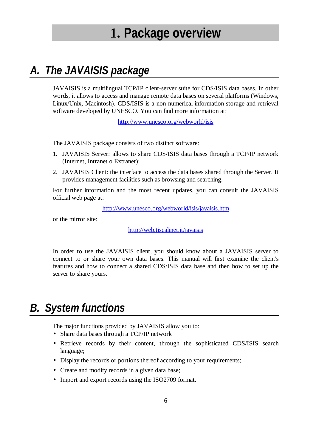## **1. Package overview**

## *A. The JAVAISIS package*

JAVAISIS is a multilingual TCP/IP client-server suite for CDS/ISIS data bases. In other words, it allows to access and manage remote data bases on several platforms (Windows, Linux/Unix, Macintosh). CDS/ISIS is a non-numerical information storage and retrieval software developed by UNESCO. You can find more information at:

http://www.unesco.org/webworld/isis

The JAVAISIS package consists of two distinct software:

- 1. JAVAISIS Server: allows to share CDS/ISIS data bases through a TCP/IP network (Internet, Intranet o Extranet);
- 2. JAVAISIS Client: the interface to access the data bases shared through the Server. It provides management facilities such as browsing and searching.

For further information and the most recent updates, you can consult the JAVAISIS official web page at:

http://www.unesco.org/webworld/isis/javaisis.htm

or the mirror site:

http://web.tiscalinet.it/javaisis

In order to use the JAVAISIS client, you should know about a JAVAISIS server to connect to or share your own data bases. This manual will first examine the client's features and how to connect a shared CDS/ISIS data base and then how to set up the server to share yours.

### *B. System functions*

The major functions provided by JAVAISIS allow you to:

- Share data bases through a TCP/IP network
- Retrieve records by their content, through the sophisticated CDS/ISIS search language;
- Display the records or portions thereof according to your requirements;
- Create and modify records in a given data base;
- Import and export records using the ISO2709 format.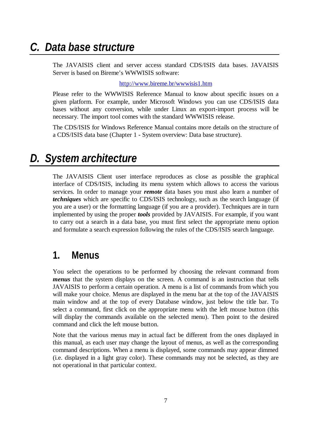### *C. Data base structure*

The JAVAISIS client and server access standard CDS/ISIS data bases. JAVAISIS Server is based on Bireme's WWWISIS software:

http://www.bireme.br/wwwisis1.htm

Please refer to the WWWISIS Reference Manual to know about specific issues on a given platform. For example, under Microsoft Windows you can use CDS/ISIS data bases without any conversion, while under Linux an export-import process will be necessary. The import tool comes with the standard WWWISIS release.

The CDS/ISIS for Windows Reference Manual contains more details on the structure of a CDS/ISIS data base (Chapter 1 - System overview: Data base structure).

### *D. System architecture*

The JAVAISIS Client user interface reproduces as close as possible the graphical interface of CDS/ISIS, including its menu system which allows to access the various services. In order to manage your *remote* data bases you must also learn a number of *techniques* which are specific to CDS/ISIS technology, such as the search language (if you are a user) or the formatting language (if you are a provider). Techniques are in turn implemented by using the proper *tools* provided by JAVAISIS. For example, if you want to carry out a search in a data base, you must first select the appropriate menu option and formulate a search expression following the rules of the CDS/ISIS search language.

### **1. Menus**

You select the operations to be performed by choosing the relevant command from *menus* that the system displays on the screen. A command is an instruction that tells JAVAISIS to perform a certain operation. A menu is a list of commands from which you will make your choice. Menus are displayed in the menu bar at the top of the JAVAISIS main window and at the top of every Database window, just below the title bar. To select a command, first click on the appropriate menu with the left mouse button (this will display the commands available on the selected menu). Then point to the desired command and click the left mouse button.

Note that the various menus may in actual fact be different from the ones displayed in this manual, as each user may change the layout of menus, as well as the corresponding command descriptions. When a menu is displayed, some commands may appear dimmed (i.e. displayed in a light gray color). These commands may not be selected, as they are not operational in that particular context.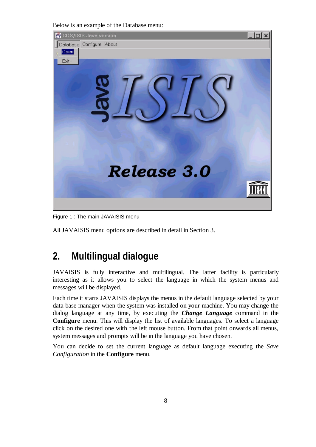Below is an example of the Database menu:



Figure 1 : The main JAVAISIS menu

All JAVAISIS menu options are described in detail in Section 3.

### **2. Multilingual dialogue**

JAVAISIS is fully interactive and multilingual. The latter facility is particularly interesting as it allows you to select the language in which the system menus and messages will be displayed.

Each time it starts JAVAISIS displays the menus in the default language selected by your data base manager when the system was installed on your machine. You may change the dialog language at any time, by executing the *Change Language* command in the **Configure** menu. This will display the list of available languages. To select a language click on the desired one with the left mouse button. From that point onwards all menus, system messages and prompts will be in the language you have chosen.

You can decide to set the current language as default language executing the *Save Configuration* in the **Configure** menu.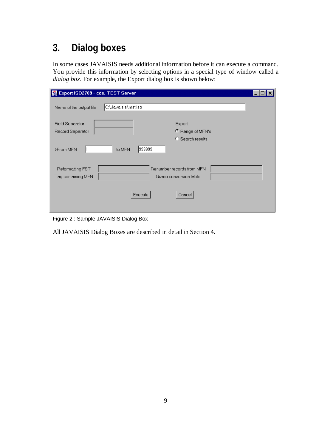## **3. Dialog boxes**

In some cases JAVAISIS needs additional information before it can execute a command. You provide this information by selecting options in a special type of window called a *dialog box*. For example, the Export dialog box is shown below:

| Export ISO2709 - cds, TEST Server          |                                                     |  |
|--------------------------------------------|-----------------------------------------------------|--|
| Name of the output file                    | C:\Javaisis\mst.iso                                 |  |
| <b>Field Separator</b><br>Record Separator | Export:<br>C Range of MFN's<br>C Search results     |  |
| >From MFN                                  | 999999<br>to MFN                                    |  |
| Reformatting FST<br>Tag containing MFN     | Renumber records from MFN<br>Gizmo conversion table |  |
|                                            | Execute<br>Cancel                                   |  |

Figure 2 : Sample JAVAISIS Dialog Box

All JAVAISIS Dialog Boxes are described in detail in Section 4.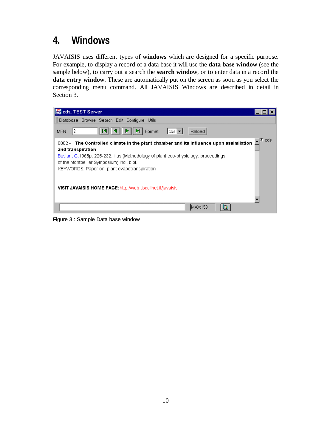## **4. Windows**

JAVAISIS uses different types of **windows** which are designed for a specific purpose. For example, to display a record of a data base it will use the **data base window** (see the sample below), to carry out a search the **search window**, or to enter data in a record the **data entry window**. These are automatically put on the screen as soon as you select the corresponding menu command. All JAVAISIS Windows are described in detail in Section 3.



Figure 3 : Sample Data base window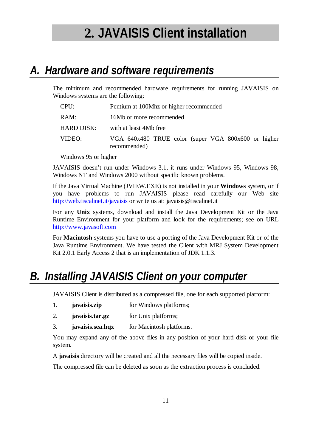# **2. JAVAISIS Client installation**

## *A. Hardware and software requirements*

The minimum and recommended hardware requirements for running JAVAISIS on Windows systems are the following:

| CPU:              | Pentium at 100Mhz or higher recommended                             |  |  |
|-------------------|---------------------------------------------------------------------|--|--|
| RAM:              | 16Mb or more recommended                                            |  |  |
| <b>HARD DISK:</b> | with at least 4Mb free                                              |  |  |
| VIDEO:            | VGA 640x480 TRUE color (super VGA 800x600 or higher<br>recommended) |  |  |

Windows 95 or higher

JAVAISIS doesn't run under Windows 3.1, it runs under Windows 95, Windows 98, Windows NT and Windows 2000 without specific known problems.

If the Java Virtual Machine (JVIEW.EXE) is not installed in your **Windows** system, or if you have problems to run JAVAISIS please read carefully our Web site http://web.tiscalinet.it/javaisis or write us at: javaisis@tiscalinet.it

For any **Unix** systems, download and install the Java Development Kit or the Java Runtime Environment for your platform and look for the requirements; see on URL http://www.javasoft.com

For **Macintosh** systems you have to use a porting of the Java Development Kit or of the Java Runtime Environment. We have tested the Client with MRJ System Development Kit 2.0.1 Early Access 2 that is an implementation of JDK 1.1.3.

## *B. Installing JAVAISIS Client on your computer*

JAVAISIS Client is distributed as a compressed file, one for each supported platform:

- 1. **javaisis.zip** for Windows platforms;
- 2. **javaisis.tar.gz** for Unix platforms;
- 3. **javaisis.sea.hqx** for Macintosh platforms.

You may expand any of the above files in any position of your hard disk or your file system.

A **javaisis** directory will be created and all the necessary files will be copied inside.

The compressed file can be deleted as soon as the extraction process is concluded.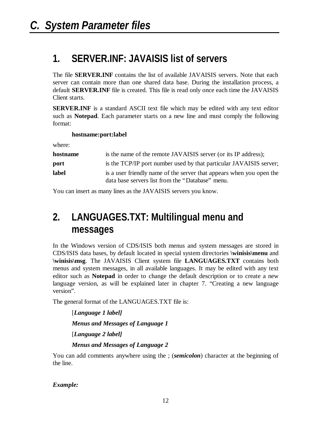### **1. SERVER.INF: JAVAISIS list of servers**

The file **SERVER.INF** contains the list of available JAVAISIS servers. Note that each server can contain more than one shared data base. During the installation process, a default **SERVER.INF** file is created. This file is read only once each time the JAVAISIS Client starts.

**SERVER.INF** is a standard ASCII text file which may be edited with any text editor such as **Notepad**. Each parameter starts on a new line and must comply the following format:

#### **hostname:port:label**

where:

| hostname | is the name of the remote JAVAISIS server (or its IP address);       |
|----------|----------------------------------------------------------------------|
| port     | is the TCP/IP port number used by that particular JAVAISIS server;   |
| label    | is a user friendly name of the server that appears when you open the |
|          | data base servers list from the "Database" menu.                     |

You can insert as many lines as the JAVAISIS servers you know.

### **2. LANGUAGES.TXT: Multilingual menu and messages**

In the Windows version of CDS/ISIS both menus and system messages are stored in CDS/ISIS data bases, by default located in special system directories **\winisis\menu** and **\winisis\msg**. The JAVAISIS Client system file **LANGUAGES.TXT** contains both menus and system messages, in all available languages. It may be edited with any text editor such as **Notepad** in order to change the default description or to create a new language version, as will be explained later in chapter 7. "Creating a new language version".

The general format of the LANGUAGES.TXT file is:

[*Language 1 label] Menus and Messages of Language 1* [*Language 2 label] Menus and Messages of Language 2*

You can add comments anywhere using the ; *(semicolon)* character at the beginning of the line.

*Example:*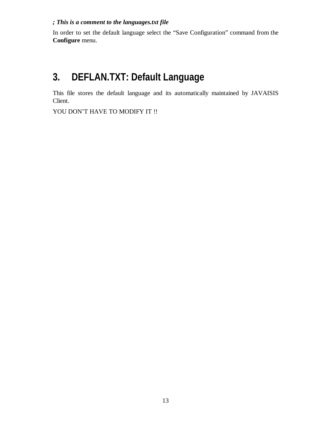#### *; This is a comment to the languages.txt file*

In order to set the default language select the "Save Configuration" command from the **Configure** menu.

### **3. DEFLAN.TXT: Default Language**

This file stores the default language and its automatically maintained by JAVAISIS Client.

YOU DON'T HAVE TO MODIFY IT !!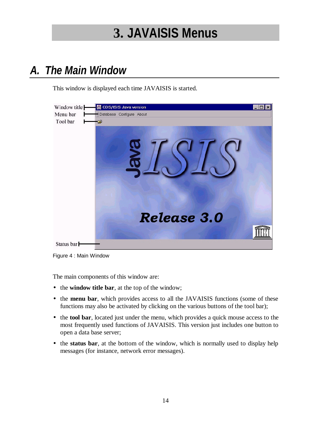# **3. JAVAISIS Menus**

## *A. The Main Window*

This window is displayed each time JAVAISIS is started.



Figure 4 : Main Window

The main components of this window are:

- the **window title bar**, at the top of the window;
- the **menu bar**, which provides access to all the JAVAISIS functions (some of these functions may also be activated by clicking on the various buttons of the tool bar);
- the **tool bar**, located just under the menu, which provides a quick mouse access to the most frequently used functions of JAVAISIS. This version just includes one button to open a data base server;
- the **status bar**, at the bottom of the window, which is normally used to display help messages (for instance, network error messages).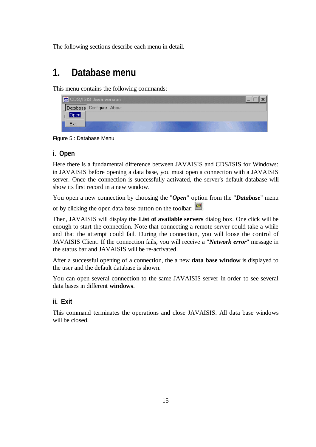The following sections describe each menu in detail.

### **1. Database menu**

This menu contains the following commands:

| B<br>CDS/ISIS Java version |  |
|----------------------------|--|
| Database Configure About   |  |
|                            |  |
| Exit                       |  |

Figure 5 : Database Menu

### **i. Open**

Here there is a fundamental difference between JAVAISIS and CDS/ISIS for Windows: in JAVAISIS before opening a data base, you must open a connection with a JAVAISIS server. Once the connection is successfully activated, the server's default database will show its first record in a new window.

You open a new connection by choosing the "*Open*" option from the "*Database*" menu

or by clicking the open data base button on the toolbar:

Then, JAVAISIS will display the **List of available servers** dialog box. One click will be enough to start the connection. Note that connecting a remote server could take a while and that the attempt could fail. During the connection, you will loose the control of JAVAISIS Client. If the connection fails, you will receive a "*Network error*" message in the status bar and JAVAISIS will be re-activated.

After a successful opening of a connection, the a new **data base window** is displayed to the user and the default database is shown.

You can open several connection to the same JAVAISIS server in order to see several data bases in different **windows**.

### **ii. Exit**

This command terminates the operations and close JAVAISIS. All data base windows will be closed.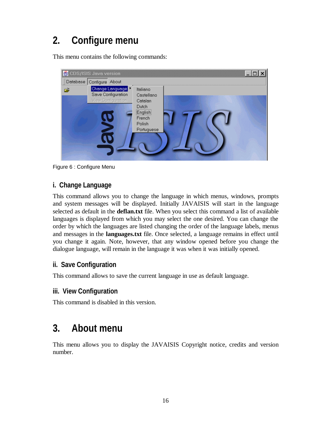## **2. Configure menu**

This menu contains the following commands:



Figure 6 : Configure Menu

### **i. Change Language**

This command allows you to change the language in which menus, windows, prompts and system messages will be displayed. Initially JAVAISIS will start in the language selected as default in the **deflan.txt** file. When you select this command a list of available languages is displayed from which you may select the one desired. You can change the order by which the languages are listed changing the order of the language labels, menus and messages in the **languages.txt** file. Once selected, a language remains in effect until you change it again. Note, however, that any window opened before you change the dialogue language, will remain in the language it was when it was initially opened.

### **ii. Save Configuration**

This command allows to save the current language in use as default language.

### **iii. View Configuration**

This command is disabled in this version.

### **3. About menu**

This menu allows you to display the JAVAISIS Copyright notice, credits and version number.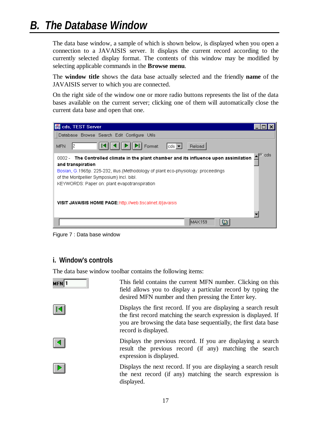## *B. The Database Window*

The data base window, a sample of which is shown below, is displayed when you open a connection to a JAVAISIS server. It displays the current record according to the currently selected display format. The contents of this window may be modified by selecting applicable commands in the **Browse menu**.

The **window title** shows the data base actually selected and the friendly **name** of the JAVAISIS server to which you are connected.

On the right side of the window one or more radio buttons represents the list of the data bases available on the current server; clicking one of them will automatically close the current data base and open that one.



Figure 7 : Data base window

### **i. Window's controls**

The data base window toolbar contains the following items:



This field contains the current MFN number. Clicking on this field allows you to display a particular record by typing the desired MFN number and then pressing the Enter key.

Displays the first record. If you are displaying a search result the first record matching the search expression is displayed. If you are browsing the data base sequentially, the first data base record is displayed.

Displays the previous record. If you are displaying a search result the previous record (if any) matching the search expression is displayed.

Displays the next record. If you are displaying a search result the next record (if any) matching the search expression is displayed.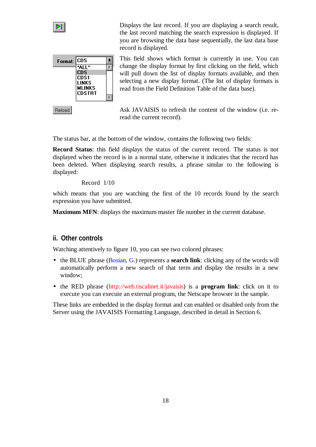

Displays the last record. If you are displaying a search result, the last record matching the search expression is displayed. If you are browsing the data base sequentially, the last data base record is displayed.



Reload

This field shows which format is currently in use. You can change the display format by first clicking on the field, which will pull down the list of display formats available, and then selecting a new display format. (The list of display formats is read from the Field Definition Table of the data base).

Ask JAVAISIS to refresh the content of the window (i.e. reread the current record).

The status bar, at the bottom of the window, contains the following two fields:

**Record Status**: this field displays the status of the current record. The status is not displayed when the record is in a normal state, otherwise it indicates that the record has been deleted. When displaying search results, a phrase similar to the following is displayed:

#### Record 1/10

which means that you are watching the first of the 10 records found by the search expression you have submitted.

**Maximum MFN**: displays the maximum master file number in the current database.

#### **ii. Other controls**

Watching attentively to figure 10, you can see two colored phrases:

- the BLUE phrase (Bosian, G.) represents a **search link**: clicking any of the words will automatically perform a new search of that term and display the results in a new window;
- the RED phrase (http://web.tiscalinet.it/javaisis) is a **program link**: click on it to execute you can execute an external program, the Netscape browser in the sample.

These links are embedded in the display format and can enabled or disabled only from the Server using the JAVAISIS Formatting Language, described in detail in Section 6.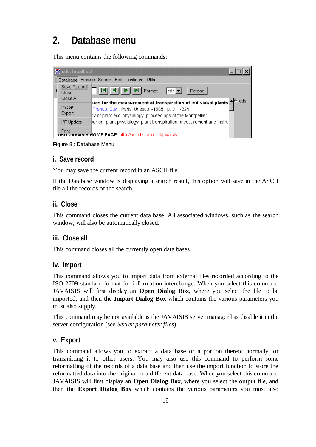## **2. Database menu**

This menu contains the following commands:

| es cds, localhost             |                                                                                                                                                                                                                  |
|-------------------------------|------------------------------------------------------------------------------------------------------------------------------------------------------------------------------------------------------------------|
|                               | Database Browse Search Edit Configure Utils                                                                                                                                                                      |
| Save Record <br>Close         | $   \triangleright    \triangleright   $ Format:<br>$ cds -$<br>Reload                                                                                                                                           |
| Close All<br>Import<br>Export | $\sqrt{e}$ cds<br>$ $ ues for the measurement of transpiration of individual plants $\triangleq$<br>Franco, C.M. Paris, Unesco, -1965. p. 211-224,<br>gy of plant eco-physiology: proceedings of the Montpellier |
| I/F Update                    | per on: plant physiology; plant transpiration; measurement and instru                                                                                                                                            |
| Print                         | visit JAVAISIS HOME PAGE: http://web.tiscalinet.it/javaisis                                                                                                                                                      |

Figure 8 : Database Menu

### **i. Save record**

You may save the current record in an ASCII file.

If the Database window is displaying a search result, this option will save in the ASCII file all the records of the search.

### **ii. Close**

This command closes the current data base. All associated windows, such as the search window, will also be automatically closed.

### **iii. Close all**

This command closes all the currently open data bases.

#### **iv. Import**

This command allows you to import data from external files recorded according to the ISO-2709 standard format for information interchange. When you select this command JAVAISIS will first display an **Open Dialog Box**, where you select the file to be imported, and then the **Import Dialog Box** which contains the various parameters you must also supply.

This command may be not available is the JAVAISIS server manager has disable it in the server configuration (see *Server parameter files*).

### **v. Export**

This command allows you to extract a data base or a portion thereof normally for transmitting it to other users. You may also use this command to perform some reformatting of the records of a data base and then use the import function to store the reformatted data into the original or a different data base. When you select this command JAVAISIS will first display an **Open Dialog Box**, where you select the output file, and then the **Export Dialog Box** which contains the various parameters you must also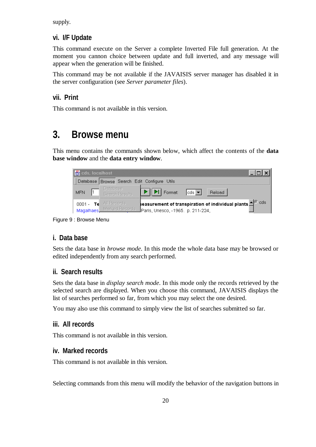supply.

#### **vi. I/F Update**

This command execute on the Server a complete Inverted File full generation. At the moment you cannon choice between update and full inverted, and any message will appear when the generation will be finished.

This command may be not available if the JAVAISIS server manager has disabled it in the server configuration (see *Server parameter files*).

#### **vii. Print**

This command is not available in this version.

### **3. Browse menu**

This menu contains the commands shown below, which affect the contents of the **data base window** and the **data entry window**.

| cds, localhost              |                                                                                                                                            |
|-----------------------------|--------------------------------------------------------------------------------------------------------------------------------------------|
| Database                    | Browse Search Edit Configure Utils                                                                                                         |
| MFN.                        | Database<br>$\triangleright$ $\triangleright$ $\triangleright$ Format:<br>$ cds -$<br>Reload<br>Search Results                             |
| $0001 -$ Tell<br>Magalhaes_ | Teasurement of transpiration of individual plants $\triangle^G$ cds<br>All Records<br>Marked Records<br>JParis, Unesco, -1965. p. 211-224, |

Figure 9 : Browse Menu

#### **i. Data base**

Sets the data base in *browse mode*. In this mode the whole data base may be browsed or edited independently from any search performed.

#### **ii. Search results**

Sets the data base in *display search mode*. In this mode only the records retrieved by the selected search are displayed. When you choose this command, JAVAISIS displays the list of searches performed so far, from which you may select the one desired.

You may also use this command to simply view the list of searches submitted so far.

#### **iii. All records**

This command is not available in this version.

#### **iv. Marked records**

This command is not available in this version.

Selecting commands from this menu will modify the behavior of the navigation buttons in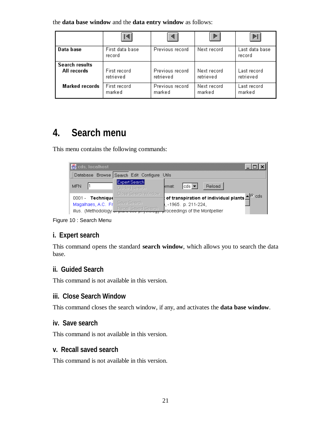the **data base window** and the **data entry window** as follows:

|                       |                           |                 | Þ           | ÞI                       |
|-----------------------|---------------------------|-----------------|-------------|--------------------------|
| Data base             | First data base<br>record | Previous record | Next record | Last data base<br>record |
| <b>Search results</b> | First record              | Previous record | Next record | Last record              |
| All records           | retrieved                 | retrieved       | retrieved   | retrieved                |
| <b>Marked records</b> | First record              | Previous record | Next record | Last record              |
|                       | marked                    | marked          | marked      | marked                   |

### **4. Search menu**

This menu contains the following commands:

| cds, localhost                              |               |                                      |        |                                |        |                                                                                               |
|---------------------------------------------|---------------|--------------------------------------|--------|--------------------------------|--------|-----------------------------------------------------------------------------------------------|
| Database Browse Search Edit Configure Utils |               |                                      |        |                                |        |                                                                                               |
| <b>MFN</b>                                  | Expert Search | Guided Search<br>Close Search Window | ırmat: | lcds   <del>▼</del>            | Reload |                                                                                               |
| 0001 - Technique                            |               |                                      |        |                                |        | $^{\rm t}$ of transpiration of individual plants $\triangle^{\rm G}$ $\stackrel{\rm d}{\sim}$ |
| Magalhaes, A.C. Fr                          | Save Search   |                                      |        | .-1965. p. 211-224,            |        |                                                                                               |
| illus. (Methodology                         |               | <b>Recall Saved Search</b>           |        | Iroceedings of the Montpellier |        |                                                                                               |

Figure 10 : Search Menu

### **i. Expert search**

This command opens the standard **search window**, which allows you to search the data base.

### **ii. Guided Search**

This command is not available in this version.

### **iii. Close Search Window**

This command closes the search window, if any, and activates the **data base window**.

### **iv. Save search**

This command is not available in this version.

### **v. Recall saved search**

This command is not available in this version.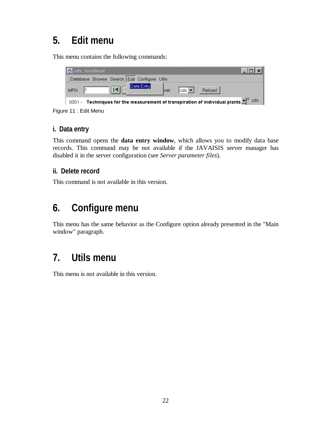### **5. Edit menu**

This menu contains the following commands:



Figure 11 : Edit Menu

### **i. Data entry**

This command opens the **data entry window**, which allows you to modify data base records. This command may be not available if the JAVAISIS server manager has disabled it in the server configuration (see *Server parameter files*).

### **ii. Delete record**

This command is not available in this version.

### **6. Configure menu**

This menu has the same behavior as the Configure option already presented in the "Main window" paragraph.

### **7. Utils menu**

This menu is not available in this version.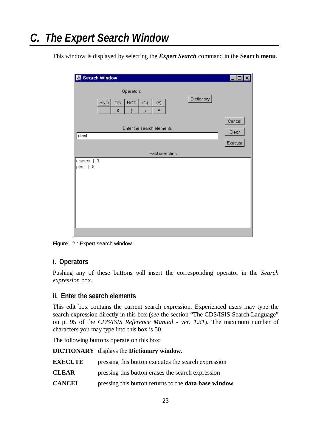## *C. The Expert Search Window*

This window is displayed by selecting the *Expert Search* command in the **Search menu**.

|                     | Search Window         |                                   |               |            |                            |
|---------------------|-----------------------|-----------------------------------|---------------|------------|----------------------------|
|                     | OR.<br>AND<br>\$<br>٠ | Operators<br>NOT<br>(G)<br>4<br>j | (F)<br>#      | Dictionary |                            |
| plant               |                       | Enter the search elements         |               |            | Cancel<br>Clear<br>Execute |
|                     |                       |                                   | Past searches |            |                            |
| unesco<br>plant   8 | 3                     |                                   |               |            |                            |

Figure 12 : Expert search window

#### **i. Operators**

Pushing any of these buttons will insert the corresponding operator in the *Search expression* box.

#### **ii. Enter the search elements**

This edit box contains the current search expression. Experienced users may type the search expression directly in this box (*see* the section "The CDS/ISIS Search Language" on p. 95 of the *CDS/ISIS Reference Manual - ver. 1.31*). The maximum number of characters you may type into this box is 50.

The following buttons operate on this box:

**DICTIONARY** displays the **Dictionary window**.

**EXECUTE** pressing this button executes the search expression

- **CLEAR** pressing this button erases the search expression
- **CANCEL** pressing this button returns to the **data base window**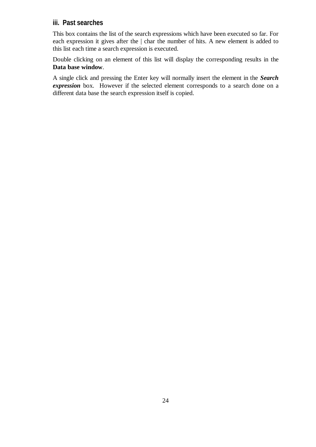### **iii. Past searches**

This box contains the list of the search expressions which have been executed so far. For each expression it gives after the | char the number of hits. A new element is added to this list each time a search expression is executed.

Double clicking on an element of this list will display the corresponding results in the **Data base window**.

A single click and pressing the Enter key will normally insert the element in the *Search expression* box. However if the selected element corresponds to a search done on a different data base the search expression itself is copied.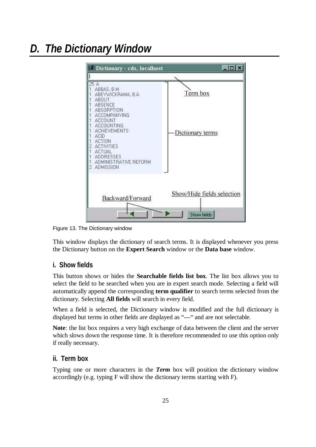## *D. The Dictionary Window*



Figure 13. The Dictionary window

This window displays the dictionary of search terms. It is displayed whenever you press the Dictionary button on the **Expert Search** window or the **Data base** window.

#### **i. Show fields**

This button shows or hides the **Searchable fields list box**. The list box allows you to select the field to be searched when you are in expert search mode. Selecting a field will automatically append the corresponding **term qualifier** to search terms selected from the dictionary. Selecting **All fields** will search in every field.

When a field is selected, the Dictionary window is modified and the full dictionary is displayed but terms in other fields are displayed as "---" and are not selectable.

**Note**: the list box requires a very high exchange of data between the client and the server which slows down the response time. It is therefore recommended to use this option only if really necessary.

#### **ii. Term box**

Typing one or more characters in the *Term* box will position the dictionary window accordingly (e.g. typing F will show the dictionary terms starting with F).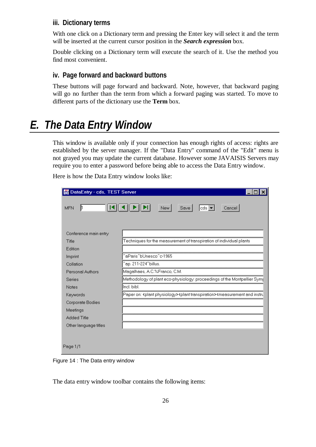#### **iii. Dictionary terms**

With one click on a Dictionary term and pressing the Enter key will select it and the term will be inserted at the current cursor position in the *Search expression* box.

Double clicking on a Dictionary term will execute the search of it. Use the method you find most convenient.

#### **iv. Page forward and backward buttons**

These buttons will page forward and backward. Note, however, that backward paging will go no further than the term from which a forward paging was started. To move to different parts of the dictionary use the **Term** box.

## *E. The Data Entry Window*

This window is available only if your connection has enough rights of access: rights are established by the server manager. If the "Data Entry" command of the "Edit" menu is not grayed you may update the current database. However some JAVAISIS Servers may require you to enter a password before being able to access the Data Entry window.

Here is how the Data Entry window looks like:

| <b>B</b> DataEntry - cds, TEST Server |                                                                                                                            |  |  |  |
|---------------------------------------|----------------------------------------------------------------------------------------------------------------------------|--|--|--|
| ∦<br><b>MFN</b>                       | New  <br>$ cds -$<br>Save<br>Cancel                                                                                        |  |  |  |
| Conference main entry                 |                                                                                                                            |  |  |  |
| Title                                 | Techniques for the measurement of transpiration of individual plants                                                       |  |  |  |
| Edition                               |                                                                                                                            |  |  |  |
| Imprint                               | ^aParis^bUnesco^c-1965                                                                                                     |  |  |  |
| Collation                             | ^ap. 211-224^billus.                                                                                                       |  |  |  |
| Personal Authors                      | Magalhaes, A.C.%Franco, C.M.                                                                                               |  |  |  |
| <b>Series</b>                         | Methodology of plant eco-physiology: proceedings of the Montpellier Sym                                                    |  |  |  |
| <b>Notes</b>                          | Incl. bibl.                                                                                                                |  |  |  |
| Keywords                              | Paper on: <plant physiology=""><plant transpiration=""><measurement and="" instru<="" th=""></measurement></plant></plant> |  |  |  |
| Corporate Bodies                      |                                                                                                                            |  |  |  |
| Meetings                              |                                                                                                                            |  |  |  |
| <b>Added Title</b>                    |                                                                                                                            |  |  |  |
| Other language titles                 |                                                                                                                            |  |  |  |
|                                       |                                                                                                                            |  |  |  |
| Page 1/1                              |                                                                                                                            |  |  |  |

Figure 14 : The Data entry window

The data entry window toolbar contains the following items: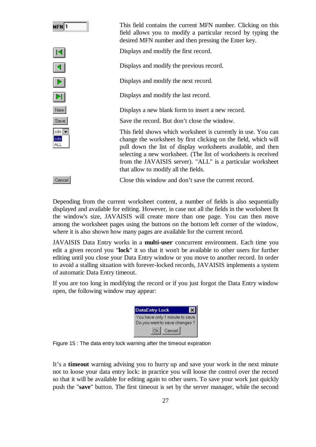

This field contains the current MFN number. Clicking on this field allows you to modify a particular record by typing the desired MFN number and then pressing the Enter key.

Displays and modify the first record.

Displays and modify the previous record.

Displays and modify the next record.

Displays and modify the last record.

Displays a new blank form to insert a new record.

Save the record. But don't close the window.

This field shows which worksheet is currently in use. You can change the worksheet by first clicking on the field, which will pull down the list of display worksheets available, and then selecting a new worksheet. (The list of worksheets is received from the JAVAISIS server). "ALL" is a particular worksheet that allow to modify all the fields.

Cancel

Close this window and don't save the current record.

Depending from the current worksheet content, a number of fields is also sequentially displayed and available for editing. However, in case not all the fields in the worksheet fit the window's size, JAVAISIS will create more than one page. You can then move among the worksheet pages using the buttons on the bottom left corner of the window, where it is also shown how many pages are available for the current record.

JAVAISIS Data Entry works in a **multi-user** concurrent environment. Each time you edit a given record you "**lock**" it so that it won't be available to other users for further editing until you close your Data Entry window or you move to another record. In order to avoid a stalling situation with forever-locked records, JAVAISIS implements a system of automatic Data Entry timeout.

If you are too long in modifying the record or if you just forgot the Data Entry window open, the following window may appear:

| DataEntry Lock                                                 |  |  |
|----------------------------------------------------------------|--|--|
| You have only 1 minute to save<br>Do you want to save changes? |  |  |
| $\overline{Ok}$ Cancel                                         |  |  |

Figure 15 : The data entry lock warning after the timeout expiration

It's a **timeout** warning advising you to hurry up and save your work in the next minute not to loose your data entry lock: in practice you will loose the control over the record so that it will be available for editing again to other users. To save your work just quickly push the "**save**" button. The first timeout is set by the server manager, while the second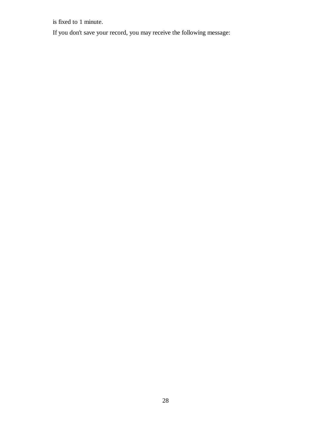is fixed to 1 minute.

If you don't save your record, you may receive the following message: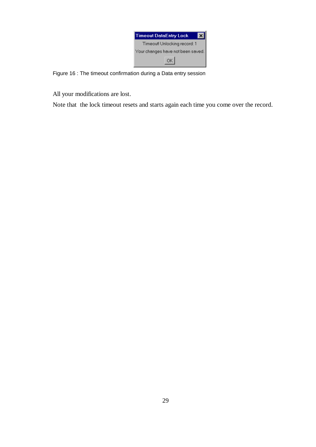| <b>Timeout DataEntry Lock</b>     |  |  |
|-----------------------------------|--|--|
| Timeout! Unlocking record: 1      |  |  |
| Your changes have not been saved. |  |  |
| OK                                |  |  |

Figure 16 : The timeout confirmation during a Data entry session

All your modifications are lost.

Note that the lock timeout resets and starts again each time you come over the record.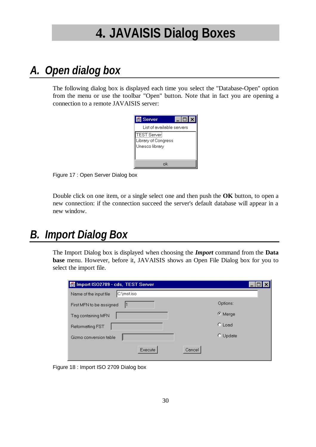# **4. JAVAISIS Dialog Boxes**

## *A. Open dialog box*

The following dialog box is displayed each time you select the "Database-Open" option from the menu or use the toolbar "Open" button. Note that in fact you are opening a connection to a remote JAVAISIS server:



Figure 17 : Open Server Dialog box

Double click on one item, or a single select one and then push the **OK** button, to open a new connection: if the connection succeed the server's default database will appear in a new window.

### *B. Import Dialog Box*

The Import Dialog box is displayed when choosing the *Import* command from the **Data base** menu. However, before it, JAVAISIS shows an Open File Dialog box for you to select the import file.

| Import ISO2709 - cds, TEST Server    |                  |
|--------------------------------------|------------------|
| C:\mst.iso<br>Name of the input file |                  |
| First MFN to be assigned             | Options:         |
| Tag containing MFN                   | © Merge          |
| <b>Reformatting FST</b>              | $C$ Load         |
| Gizmo conversion table               | $\degree$ Update |
| <b>Execute</b><br>Cancel             |                  |

Figure 18 : Import ISO 2709 Dialog box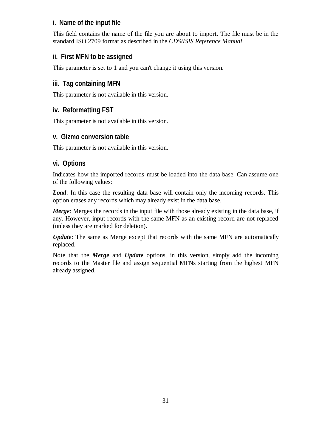### **i. Name of the input file**

This field contains the name of the file you are about to import. The file must be in the standard ISO 2709 format as described in the *CDS/ISIS Reference Manual*.

### **ii. First MFN to be assigned**

This parameter is set to 1 and you can't change it using this version.

### **iii. Tag containing MFN**

This parameter is not available in this version.

### **iv. Reformatting FST**

This parameter is not available in this version.

### **v. Gizmo conversion table**

This parameter is not available in this version.

### **vi. Options**

Indicates how the imported records must be loaded into the data base. Can assume one of the following values:

*Load*: In this case the resulting data base will contain only the incoming records. This option erases any records which may already exist in the data base.

*Merge*: Merges the records in the input file with those already existing in the data base, if any. However, input records with the same MFN as an existing record are not replaced (unless they are marked for deletion).

*Update*: The same as Merge except that records with the same MFN are automatically replaced.

Note that the *Merge* and *Update* options, in this version, simply add the incoming records to the Master file and assign sequential MFNs starting from the highest MFN already assigned.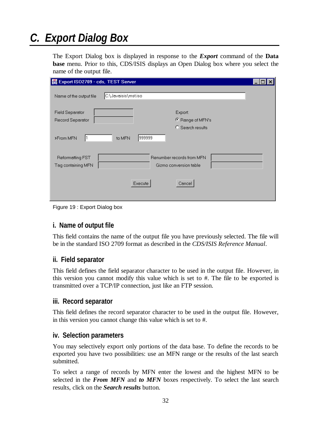# *C. Export Dialog Box*

The Export Dialog box is displayed in response to the *Export* command of the **Data base** menu. Prior to this, CDS/ISIS displays an Open Dialog box where you select the name of the output file.

| Export ISO2709 - cds, TEST Server             |                                                     |  |
|-----------------------------------------------|-----------------------------------------------------|--|
| Name of the output file                       | C:\Javaisis\mst.iso                                 |  |
| <b>Field Separator</b><br>Record Separator    | Export:<br>C Range of MFN's<br>C Search results     |  |
| >From MFN                                     | 999999 <br>to MFN                                   |  |
| <b>Reformatting FST</b><br>Tag containing MFN | Renumber records from MFN<br>Gizmo conversion table |  |
|                                               | Execute<br>Cancel                                   |  |

Figure 19 : Export Dialog box

#### **i. Name of output file**

This field contains the name of the output file you have previously selected. The file will be in the standard ISO 2709 format as described in the *CDS/ISIS Reference Manual*.

### **ii. Field separator**

This field defines the field separator character to be used in the output file. However, in this version you cannot modify this value which is set to #. The file to be exported is transmitted over a TCP/IP connection, just like an FTP session.

#### **iii. Record separator**

This field defines the record separator character to be used in the output file. However, in this version you cannot change this value which is set to #.

#### **iv. Selection parameters**

You may selectively export only portions of the data base. To define the records to be exported you have two possibilities: use an MFN range or the results of the last search submitted.

To select a range of records by MFN enter the lowest and the highest MFN to be selected in the *From MFN* and *to MFN* boxes respectively. To select the last search results, click on the *Search results* button.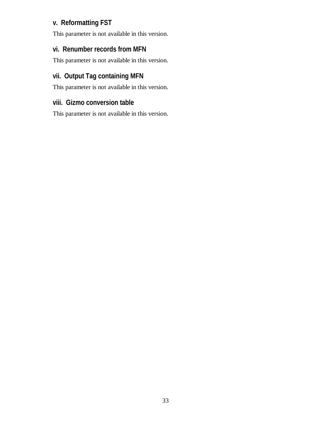### **v. Reformatting FST**

This parameter is not available in this version.

### **vi. Renumber records from MFN**

This parameter is not available in this version.

### **vii. Output Tag containing MFN**

This parameter is not available in this version.

### **viii. Gizmo conversion table**

This parameter is not available in this version.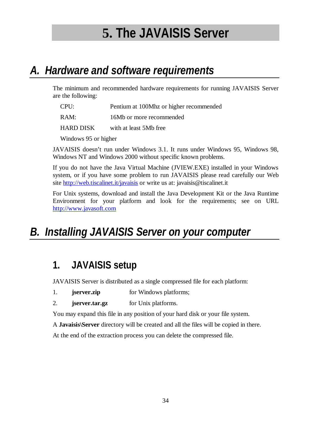# **5. The JAVAISIS Server**

## *A. Hardware and software requirements*

The minimum and recommended hardware requirements for running JAVAISIS Server are the following:

CPU: Pentium at 100Mhz or higher recommended

RAM: 16Mb or more recommended

HARD DISK with at least 5Mb free

Windows 95 or higher

JAVAISIS doesn't run under Windows 3.1. It runs under Windows 95, Windows 98, Windows NT and Windows 2000 without specific known problems.

If you do not have the Java Virtual Machine (JVIEW.EXE) installed in your Windows system, or if you have some problem to run JAVAISIS please read carefully our Web site http://web.tiscalinet.it/javaisis or write us at: javaisis@tiscalinet.it

For Unix systems, download and install the Java Development Kit or the Java Runtime Environment for your platform and look for the requirements; see on URL http://www.javasoft.com

## *B. Installing JAVAISIS Server on your computer*

### **1. JAVAISIS setup**

JAVAISIS Server is distributed as a single compressed file for each platform:

- 1. **jserver.zip** for Windows platforms;
- 2. **jserver.tar.gz** for Unix platforms.

You may expand this file in any position of your hard disk or your file system.

A **Javaisis\Server** directory will be created and all the files will be copied in there.

At the end of the extraction process you can delete the compressed file.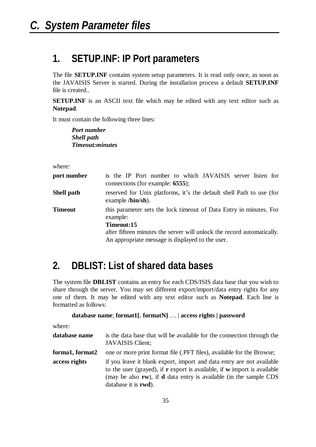### **1. SETUP.INF: IP Port parameters**

The file **SETUP.INF** contains system setup parameters. It is read only once, as soon as the JAVAISIS Server is started. During the installation process a default **SETUP.INF** file is created..

**SETUP.INF** is an ASCII text file which may be edited with any text editor such as **Notepad**.

It must contain the following three lines:

*Port number Shell path Timeout:minutes*

where:

| port number    | is the IP Port number to which JAVAISIS server listen for<br>connections (for example: 6555);                                                                                                                              |  |  |
|----------------|----------------------------------------------------------------------------------------------------------------------------------------------------------------------------------------------------------------------------|--|--|
| Shell path     | reserved for Unix platforms, it's the default shell Path to use (for<br>example $\Delta$ bin/sh).                                                                                                                          |  |  |
| <b>Timeout</b> | this parameter sets the lock timeout of Data Entry in minutes. For<br>example:<br>Timeout:15<br>after fifteen minutes the server will unlock the record automatically.<br>An appropriate message is displayed to the user. |  |  |

### **2. DBLIST: List of shared data bases**

The system file **DBLIST** contains an entry for each CDS/ISIS data base that you wish to share through the server. You may set different export/import/data entry rights for any one of them. It may be edited with any text editor such as **Notepad**. Each line is formatted as follows:

```
database name; format1[, formatN] … | access rights | password
```
where:

| database name   | is the data base that will be available for the connection through the<br>JAVAISIS Client;                                                                                                                                                                                  |
|-----------------|-----------------------------------------------------------------------------------------------------------------------------------------------------------------------------------------------------------------------------------------------------------------------------|
| forma1, format2 | one or more print format file (.PFT files), available for the Browse;                                                                                                                                                                                                       |
| access rights   | if you leave it blank export, import and data entry are not available<br>to the user (grayed), if $\bf{r}$ export is available, if $\bf{w}$ import is available<br>(may be also rw), if <b>d</b> data entry is available (in the sample CDS<br>database it is <b>rwd</b> ). |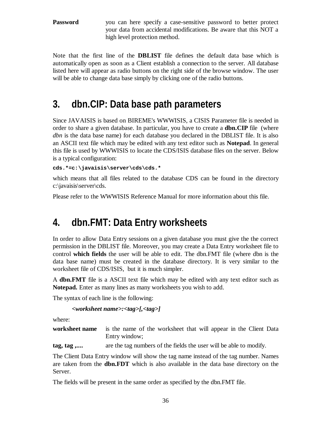**Password** you can here specify a case-sensitive password to better protect your data from accidental modifications. Be aware that this NOT a high level protection method.

Note that the first line of the **DBLIST** file defines the default data base which is automatically open as soon as a Client establish a connection to the server. All database listed here will appear as radio buttons on the right side of the browse window. The user will be able to change data base simply by clicking one of the radio buttons.

### **3. dbn.CIP: Data base path parameters**

Since JAVAISIS is based on BIREME's WWWISIS, a CISIS Parameter file is needed in order to share a given database. In particular, you have to create a **dbn.CIP** file (where *dbn* is the data base name) for each database you declared in the DBLIST file. It is also an ASCII text file which may be edited with any text editor such as **Notepad**. In general this file is used by WWWISIS to locate the CDS/ISIS database files on the server. Below is a typical configuration:

**cds.\*=c:\javaisis\server\cds\cds.\***

which means that all files related to the database CDS can be found in the directory c:\javaisis\server\cds.

Please refer to the WWWISIS Reference Manual for more information about this file.

### **4. dbn.FMT: Data Entry worksheets**

In order to allow Data Entry sessions on a given database you must give the the correct permission in the DBLIST file. Moreover, you may create a Data Entry worksheet file to control **which fields** the user will be able to edit. The dbn.FMT file (where dbn is the data base name) must be created in the database directory. It is very similar to the worksheet file of CDS/ISIS, but it is much simpler.

A **dbn.FMT** file is a ASCII text file which may be edited with any text editor such as **Notepad.** Enter as many lines as many worksheets you wish to add.

The syntax of each line is the following:

```
<worksheet name>:<tag>[,<tag>]
```
where:

**worksheet name** is the name of the worksheet that will appear in the Client Data Entry window;

**tag, tag ,....** are the tag numbers of the fields the user will be able to modify.

The Client Data Entry window will show the tag name instead of the tag number. Names are taken from the **dbn.FDT** which is also available in the data base directory on the Server.

The fields will be present in the same order as specified by the dbn.FMT file.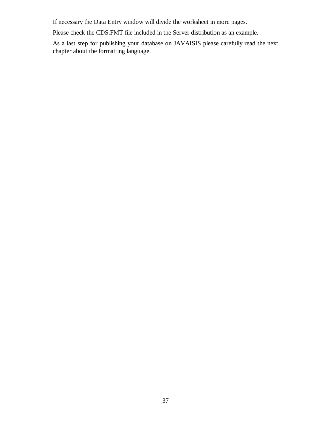If necessary the Data Entry window will divide the worksheet in more pages.

Please check the CDS.FMT file included in the Server distribution as an example.

As a last step for publishing your database on JAVAISIS please carefully read the next chapter about the formatting language.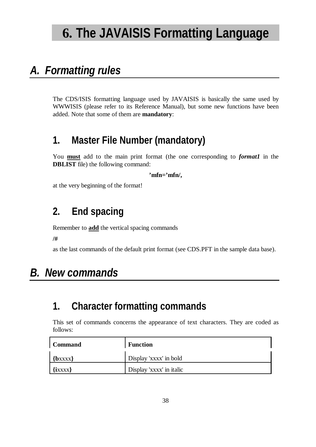# **6. The JAVAISIS Formatting Language**

## *A. Formatting rules*

The CDS/ISIS formatting language used by JAVAISIS is basically the same used by WWWISIS (please refer to its Reference Manual), but some new functions have been added. Note that some of them are **mandatory**:

### **1. Master File Number (mandatory)**

You **must** add to the main print format (the one corresponding to *format1* in the **DBLIST** file) the following command:

**'mfn='mfn/,**

at the very beginning of the format!

### **2. End spacing**

Remember to **add** the vertical spacing commands

**/#**

as the last commands of the default print format (see CDS.PFT in the sample data base).

## *B. New commands*

### **1. Character formatting commands**

This set of commands concerns the appearance of text characters. They are coded as follows:

| <b>Command</b> | <b>Function</b>          |
|----------------|--------------------------|
| $\{bxxxx\}$    | Display 'xxxx' in bold   |
| $\{ixxxx\}$    | Display 'xxxx' in italic |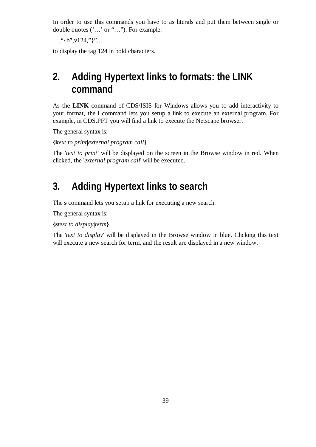In order to use this commands you have to as literals and put them between single or double quotes ('...' or "..."). For example:

 $..., "{b", v124."}"...$ 

to display the tag 124 in bold characters.

### **2. Adding Hypertext links to formats: the LINK command**

As the **LINK** command of CDS/ISIS for Windows allows you to add interactivity to your format, the **l** command lets you setup a link to execute an external program. For example, in CDS.PFT you will find a link to execute the Netscape browser.

The general syntax is:

**{l***text to print***|***external program call***}**

The '*text to print'* will be displayed on the screen in the Browse window in red. When clicked, the '*external program call*' will be executed.

### **3. Adding Hypertext links to search**

The **s** command lets you setup a link for executing a new search.

The general syntax is:

**{s***text to display***|***term***}**

The '*text to display*' will be displayed in the Browse window in blue. Clicking this text will execute a new search for term, and the result are displayed in a new window.